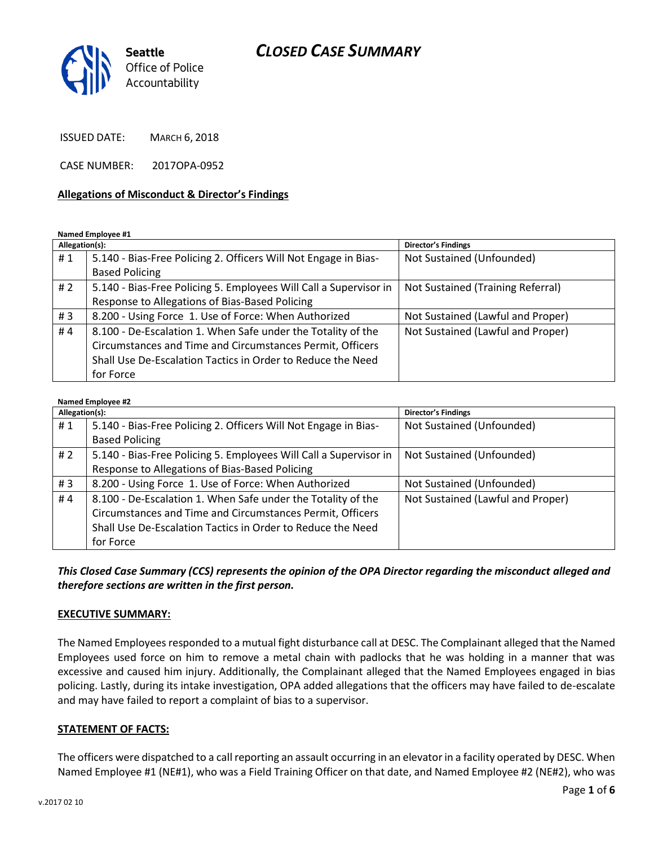# *CLOSED CASE SUMMARY*



ISSUED DATE: MARCH 6, 2018

CASE NUMBER: 2017OPA-0952

#### **Allegations of Misconduct & Director's Findings**

**Named Employee #1**

| Allegation(s): |                                                                   | Director's Findings               |
|----------------|-------------------------------------------------------------------|-----------------------------------|
| #1             | 5.140 - Bias-Free Policing 2. Officers Will Not Engage in Bias-   | Not Sustained (Unfounded)         |
|                | <b>Based Policing</b>                                             |                                   |
| # $2$          | 5.140 - Bias-Free Policing 5. Employees Will Call a Supervisor in | Not Sustained (Training Referral) |
|                | Response to Allegations of Bias-Based Policing                    |                                   |
| #3             | 8.200 - Using Force 1. Use of Force: When Authorized              | Not Sustained (Lawful and Proper) |
| #4             | 8.100 - De-Escalation 1. When Safe under the Totality of the      | Not Sustained (Lawful and Proper) |
|                | Circumstances and Time and Circumstances Permit, Officers         |                                   |
|                | Shall Use De-Escalation Tactics in Order to Reduce the Need       |                                   |
|                | for Force                                                         |                                   |

#### **Named Employee #2**

| Allegation(s): |                                                                   | Director's Findings               |
|----------------|-------------------------------------------------------------------|-----------------------------------|
| #1             | 5.140 - Bias-Free Policing 2. Officers Will Not Engage in Bias-   | Not Sustained (Unfounded)         |
|                | <b>Based Policing</b>                                             |                                   |
| # 2            | 5.140 - Bias-Free Policing 5. Employees Will Call a Supervisor in | Not Sustained (Unfounded)         |
|                | Response to Allegations of Bias-Based Policing                    |                                   |
| #3             | 8.200 - Using Force 1. Use of Force: When Authorized              | Not Sustained (Unfounded)         |
| #4             | 8.100 - De-Escalation 1. When Safe under the Totality of the      | Not Sustained (Lawful and Proper) |
|                | Circumstances and Time and Circumstances Permit, Officers         |                                   |
|                | Shall Use De-Escalation Tactics in Order to Reduce the Need       |                                   |
|                | for Force                                                         |                                   |

*This Closed Case Summary (CCS) represents the opinion of the OPA Director regarding the misconduct alleged and therefore sections are written in the first person.* 

#### **EXECUTIVE SUMMARY:**

The Named Employees responded to a mutual fight disturbance call at DESC. The Complainant alleged that the Named Employees used force on him to remove a metal chain with padlocks that he was holding in a manner that was excessive and caused him injury. Additionally, the Complainant alleged that the Named Employees engaged in bias policing. Lastly, during its intake investigation, OPA added allegations that the officers may have failed to de-escalate and may have failed to report a complaint of bias to a supervisor.

#### **STATEMENT OF FACTS:**

The officers were dispatched to a call reporting an assault occurring in an elevator in a facility operated by DESC. When Named Employee #1 (NE#1), who was a Field Training Officer on that date, and Named Employee #2 (NE#2), who was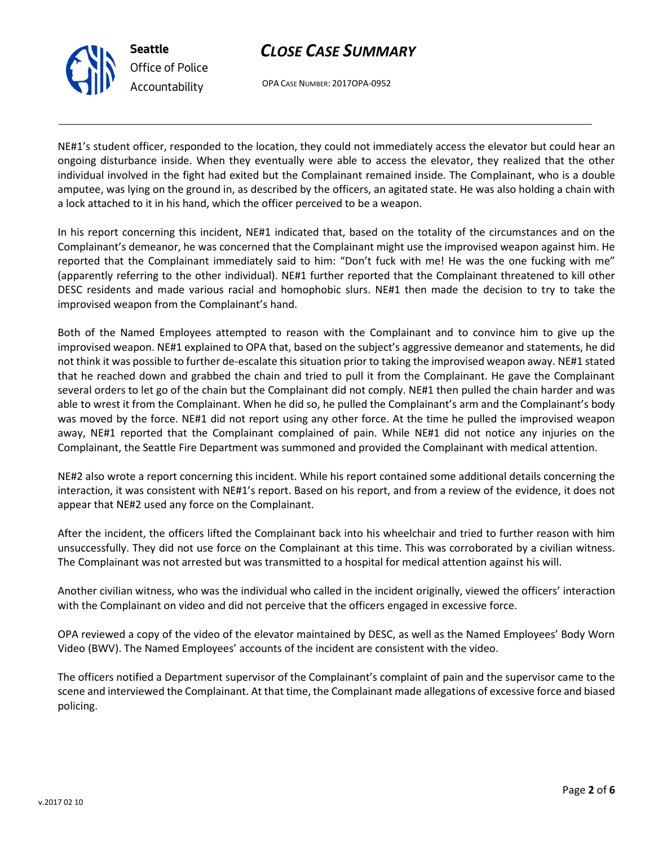# *CLOSE CASE SUMMARY*



OPA CASE NUMBER: 2017OPA-0952

NE#1's student officer, responded to the location, they could not immediately access the elevator but could hear an ongoing disturbance inside. When they eventually were able to access the elevator, they realized that the other individual involved in the fight had exited but the Complainant remained inside. The Complainant, who is a double amputee, was lying on the ground in, as described by the officers, an agitated state. He was also holding a chain with a lock attached to it in his hand, which the officer perceived to be a weapon.

In his report concerning this incident, NE#1 indicated that, based on the totality of the circumstances and on the Complainant's demeanor, he was concerned that the Complainant might use the improvised weapon against him. He reported that the Complainant immediately said to him: "Don't fuck with me! He was the one fucking with me" (apparently referring to the other individual). NE#1 further reported that the Complainant threatened to kill other DESC residents and made various racial and homophobic slurs. NE#1 then made the decision to try to take the improvised weapon from the Complainant's hand.

Both of the Named Employees attempted to reason with the Complainant and to convince him to give up the improvised weapon. NE#1 explained to OPA that, based on the subject's aggressive demeanor and statements, he did not think it was possible to further de-escalate this situation prior to taking the improvised weapon away. NE#1 stated that he reached down and grabbed the chain and tried to pull it from the Complainant. He gave the Complainant several orders to let go of the chain but the Complainant did not comply. NE#1 then pulled the chain harder and was able to wrest it from the Complainant. When he did so, he pulled the Complainant's arm and the Complainant's body was moved by the force. NE#1 did not report using any other force. At the time he pulled the improvised weapon away, NE#1 reported that the Complainant complained of pain. While NE#1 did not notice any injuries on the Complainant, the Seattle Fire Department was summoned and provided the Complainant with medical attention.

NE#2 also wrote a report concerning this incident. While his report contained some additional details concerning the interaction, it was consistent with NE#1's report. Based on his report, and from a review of the evidence, it does not appear that NE#2 used any force on the Complainant.

After the incident, the officers lifted the Complainant back into his wheelchair and tried to further reason with him unsuccessfully. They did not use force on the Complainant at this time. This was corroborated by a civilian witness. The Complainant was not arrested but was transmitted to a hospital for medical attention against his will.

Another civilian witness, who was the individual who called in the incident originally, viewed the officers' interaction with the Complainant on video and did not perceive that the officers engaged in excessive force.

OPA reviewed a copy of the video of the elevator maintained by DESC, as well as the Named Employees' Body Worn Video (BWV). The Named Employees' accounts of the incident are consistent with the video.

The officers notified a Department supervisor of the Complainant's complaint of pain and the supervisor came to the scene and interviewed the Complainant. At that time, the Complainant made allegations of excessive force and biased policing.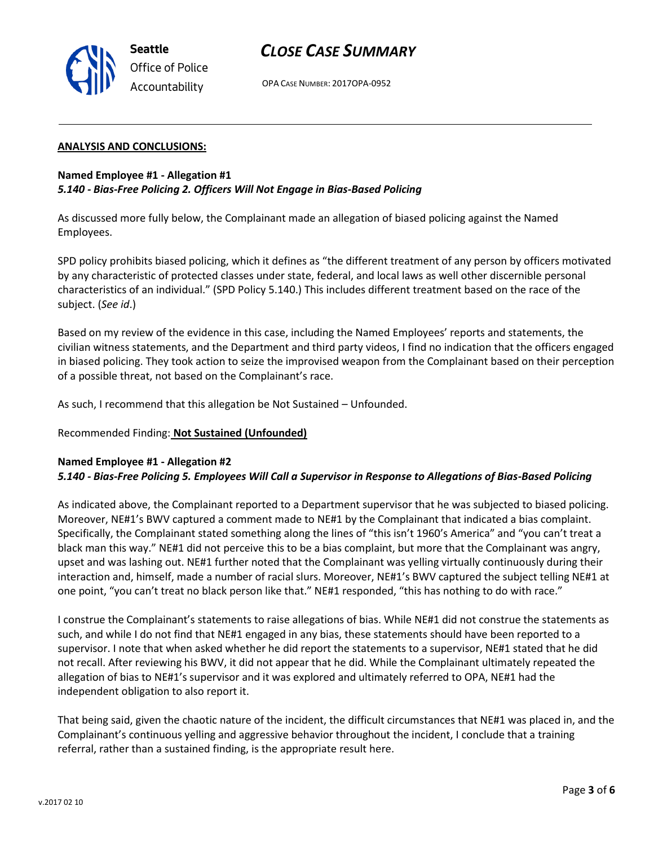

# *CLOSE CASE SUMMARY*

OPA CASE NUMBER: 2017OPA-0952

#### **ANALYSIS AND CONCLUSIONS:**

### **Named Employee #1 - Allegation #1** *5.140 - Bias-Free Policing 2. Officers Will Not Engage in Bias-Based Policing*

As discussed more fully below, the Complainant made an allegation of biased policing against the Named Employees.

SPD policy prohibits biased policing, which it defines as "the different treatment of any person by officers motivated by any characteristic of protected classes under state, federal, and local laws as well other discernible personal characteristics of an individual." (SPD Policy 5.140.) This includes different treatment based on the race of the subject. (*See id*.)

Based on my review of the evidence in this case, including the Named Employees' reports and statements, the civilian witness statements, and the Department and third party videos, I find no indication that the officers engaged in biased policing. They took action to seize the improvised weapon from the Complainant based on their perception of a possible threat, not based on the Complainant's race.

As such, I recommend that this allegation be Not Sustained – Unfounded.

Recommended Finding: **Not Sustained (Unfounded)**

### **Named Employee #1 - Allegation #2**

### *5.140 - Bias-Free Policing 5. Employees Will Call a Supervisor in Response to Allegations of Bias-Based Policing*

As indicated above, the Complainant reported to a Department supervisor that he was subjected to biased policing. Moreover, NE#1's BWV captured a comment made to NE#1 by the Complainant that indicated a bias complaint. Specifically, the Complainant stated something along the lines of "this isn't 1960's America" and "you can't treat a black man this way." NE#1 did not perceive this to be a bias complaint, but more that the Complainant was angry, upset and was lashing out. NE#1 further noted that the Complainant was yelling virtually continuously during their interaction and, himself, made a number of racial slurs. Moreover, NE#1's BWV captured the subject telling NE#1 at one point, "you can't treat no black person like that." NE#1 responded, "this has nothing to do with race."

I construe the Complainant's statements to raise allegations of bias. While NE#1 did not construe the statements as such, and while I do not find that NE#1 engaged in any bias, these statements should have been reported to a supervisor. I note that when asked whether he did report the statements to a supervisor, NE#1 stated that he did not recall. After reviewing his BWV, it did not appear that he did. While the Complainant ultimately repeated the allegation of bias to NE#1's supervisor and it was explored and ultimately referred to OPA, NE#1 had the independent obligation to also report it.

That being said, given the chaotic nature of the incident, the difficult circumstances that NE#1 was placed in, and the Complainant's continuous yelling and aggressive behavior throughout the incident, I conclude that a training referral, rather than a sustained finding, is the appropriate result here.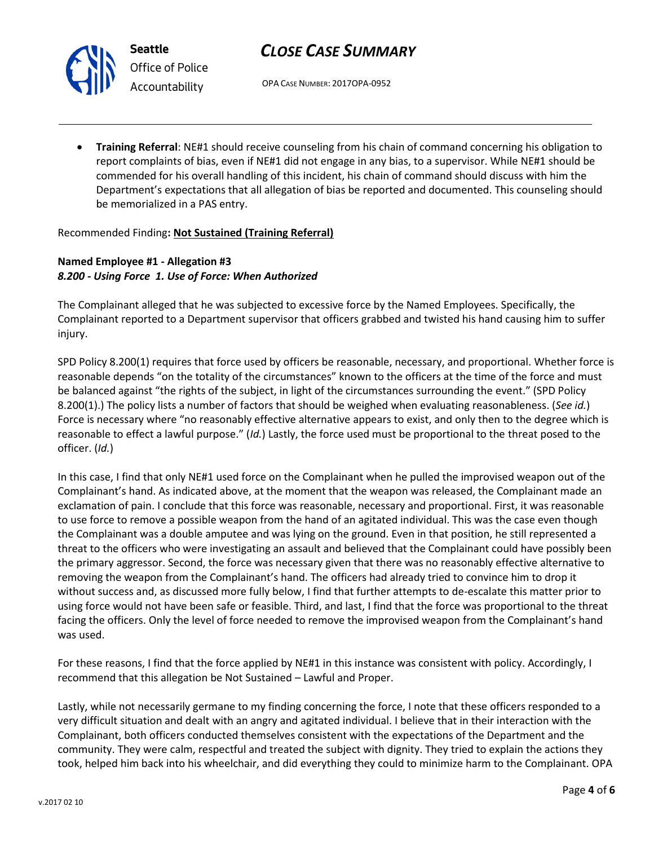

**Seattle** *Office of Police Accountability*

# *CLOSE CASE SUMMARY*

OPA CASE NUMBER: 2017OPA-0952

• **Training Referral**: NE#1 should receive counseling from his chain of command concerning his obligation to report complaints of bias, even if NE#1 did not engage in any bias, to a supervisor. While NE#1 should be commended for his overall handling of this incident, his chain of command should discuss with him the Department's expectations that all allegation of bias be reported and documented. This counseling should be memorialized in a PAS entry.

Recommended Finding**: Not Sustained (Training Referral)**

# **Named Employee #1 - Allegation #3** *8.200 - Using Force 1. Use of Force: When Authorized*

The Complainant alleged that he was subjected to excessive force by the Named Employees. Specifically, the Complainant reported to a Department supervisor that officers grabbed and twisted his hand causing him to suffer injury.

SPD Policy 8.200(1) requires that force used by officers be reasonable, necessary, and proportional. Whether force is reasonable depends "on the totality of the circumstances" known to the officers at the time of the force and must be balanced against "the rights of the subject, in light of the circumstances surrounding the event." (SPD Policy 8.200(1).) The policy lists a number of factors that should be weighed when evaluating reasonableness. (*See id.*) Force is necessary where "no reasonably effective alternative appears to exist, and only then to the degree which is reasonable to effect a lawful purpose." (*Id.*) Lastly, the force used must be proportional to the threat posed to the officer. (*Id.*)

In this case, I find that only NE#1 used force on the Complainant when he pulled the improvised weapon out of the Complainant's hand. As indicated above, at the moment that the weapon was released, the Complainant made an exclamation of pain. I conclude that this force was reasonable, necessary and proportional. First, it was reasonable to use force to remove a possible weapon from the hand of an agitated individual. This was the case even though the Complainant was a double amputee and was lying on the ground. Even in that position, he still represented a threat to the officers who were investigating an assault and believed that the Complainant could have possibly been the primary aggressor. Second, the force was necessary given that there was no reasonably effective alternative to removing the weapon from the Complainant's hand. The officers had already tried to convince him to drop it without success and, as discussed more fully below, I find that further attempts to de-escalate this matter prior to using force would not have been safe or feasible. Third, and last, I find that the force was proportional to the threat facing the officers. Only the level of force needed to remove the improvised weapon from the Complainant's hand was used.

For these reasons, I find that the force applied by NE#1 in this instance was consistent with policy. Accordingly, I recommend that this allegation be Not Sustained – Lawful and Proper.

Lastly, while not necessarily germane to my finding concerning the force, I note that these officers responded to a very difficult situation and dealt with an angry and agitated individual. I believe that in their interaction with the Complainant, both officers conducted themselves consistent with the expectations of the Department and the community. They were calm, respectful and treated the subject with dignity. They tried to explain the actions they took, helped him back into his wheelchair, and did everything they could to minimize harm to the Complainant. OPA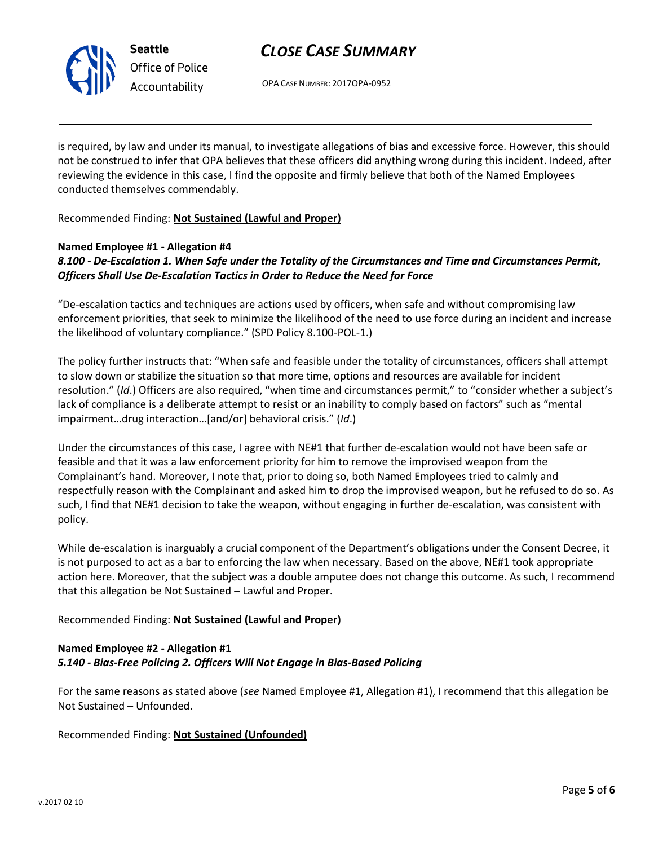

*Office of Police Accountability*

# *CLOSE CASE SUMMARY*

OPA CASE NUMBER: 2017OPA-0952

is required, by law and under its manual, to investigate allegations of bias and excessive force. However, this should not be construed to infer that OPA believes that these officers did anything wrong during this incident. Indeed, after reviewing the evidence in this case, I find the opposite and firmly believe that both of the Named Employees conducted themselves commendably.

Recommended Finding: **Not Sustained (Lawful and Proper)**

## **Named Employee #1 - Allegation #4**

## *8.100 - De-Escalation 1. When Safe under the Totality of the Circumstances and Time and Circumstances Permit, Officers Shall Use De-Escalation Tactics in Order to Reduce the Need for Force*

"De-escalation tactics and techniques are actions used by officers, when safe and without compromising law enforcement priorities, that seek to minimize the likelihood of the need to use force during an incident and increase the likelihood of voluntary compliance." (SPD Policy 8.100-POL-1.)

The policy further instructs that: "When safe and feasible under the totality of circumstances, officers shall attempt to slow down or stabilize the situation so that more time, options and resources are available for incident resolution." (*Id*.) Officers are also required, "when time and circumstances permit," to "consider whether a subject's lack of compliance is a deliberate attempt to resist or an inability to comply based on factors" such as "mental impairment…drug interaction…[and/or] behavioral crisis." (*Id*.)

Under the circumstances of this case, I agree with NE#1 that further de-escalation would not have been safe or feasible and that it was a law enforcement priority for him to remove the improvised weapon from the Complainant's hand. Moreover, I note that, prior to doing so, both Named Employees tried to calmly and respectfully reason with the Complainant and asked him to drop the improvised weapon, but he refused to do so. As such, I find that NE#1 decision to take the weapon, without engaging in further de-escalation, was consistent with policy.

While de-escalation is inarguably a crucial component of the Department's obligations under the Consent Decree, it is not purposed to act as a bar to enforcing the law when necessary. Based on the above, NE#1 took appropriate action here. Moreover, that the subject was a double amputee does not change this outcome. As such, I recommend that this allegation be Not Sustained – Lawful and Proper.

Recommended Finding: **Not Sustained (Lawful and Proper)**

# **Named Employee #2 - Allegation #1** *5.140 - Bias-Free Policing 2. Officers Will Not Engage in Bias-Based Policing*

For the same reasons as stated above (*see* Named Employee #1, Allegation #1), I recommend that this allegation be Not Sustained – Unfounded.

Recommended Finding: **Not Sustained (Unfounded)**